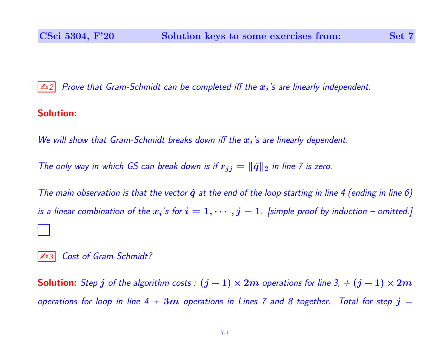$\mathbb{Z}_{12}$  Prove that Gram-Schmidt can be completed iff the  $x_i$ 's are linearly independent.

## Solution:

We will show that Gram-Schmidt breaks down iff the  $x_i$ 's are linearly dependent.

The only way in which GS can break down is if  $r_{jj} = \|\hat{q}\|_2$  in line 7 is zero.

The main observation is that the vector  $\hat{q}$  at the end of the loop starting in line 4 (ending in line 6) is a linear combination of the  $x_i$ 's for  $i=1,\cdots,j-1$ . [simple proof by induction – omitted.]

Cost of Gram-Schmidt?

**Solution:** Step j of the algorithm costs :  $(j - 1) \times 2m$  operations for line 3, +  $(j - 1) \times 2m$ operations for loop in line 4  $+$   $3m$  operations in Lines 7 and 8 together. Total for step  $\bm{j}$   $=$